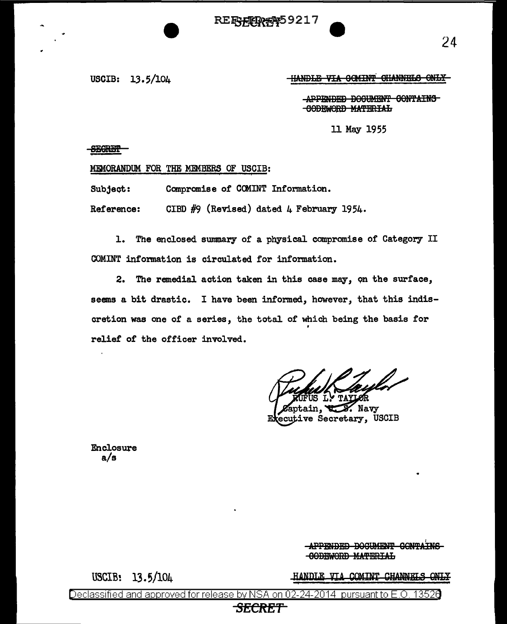**RE<del>FYFIR#</del>959217** 

USCIB: 13. 5/104

**HANDLE VIA COMINT CHANNELS ONLY** 

APPENDED DOCUMENT CONTAINS 00BEWORB MA'fBRIAh

11 May 1955

SEGRET-

MEMORANDUM FOR THE MEMBERS OF USCIB:

Subject: Compromise of COMINT Information.

Reference: CIBD #9 (Revised) dated 4 February 1954.

1. The enclosed sunmary of a physical compromise of Category II COMINT information is circulated for information.

2. The remedial action taken in this case may, on the surface, seems a bit drastic. I have been informed, however, that this indiscretion was one of a series, the total of which being the basis for . relief' of the officer involved.

Navy

ecutive Secretary, USCIB

Enclosure a/s

> **APPENDED BOCUMENT CONTAINS** -GODEWORD MATERIAL

USCIB? 13.5/104

HANDLE VIA COMINT CHANNELS ONLY

24

Declassified and approved for release by NSA on 02-24-2014 pursuant to E.O. 13526

## **SECRF/f**